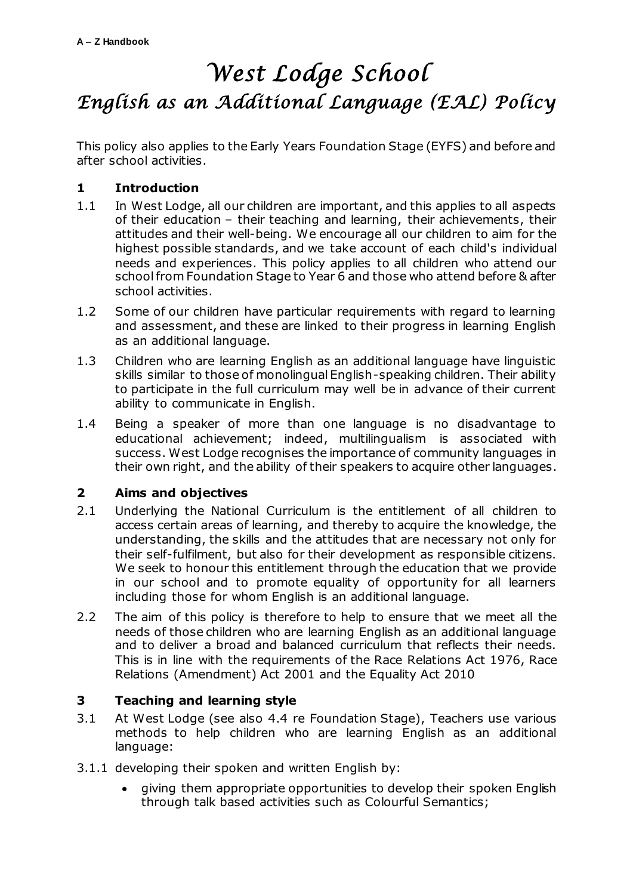# *West Lodge School English as an Additional Language (EAL) Policy*

This policy also applies to the Early Years Foundation Stage (EYFS) and before and after school activities.

## **1 Introduction**

- 1.1 In West Lodge, all our children are important, and this applies to all aspects of their education – their teaching and learning, their achievements, their attitudes and their well-being. We encourage all our children to aim for the highest possible standards, and we take account of each child's individual needs and experiences. This policy applies to all children who attend our school from Foundation Stage to Year 6 and those who attend before & after school activities.
- 1.2 Some of our children have particular requirements with regard to learning and assessment, and these are linked to their progress in learning English as an additional language.
- 1.3 Children who are learning English as an additional language have linguistic skills similar to those of monolingual English-speaking children. Their ability to participate in the full curriculum may well be in advance of their current ability to communicate in English.
- 1.4 Being a speaker of more than one language is no disadvantage to educational achievement; indeed, multilingualism is associated with success. West Lodge recognises the importance of community languages in their own right, and the ability of their speakers to acquire other languages.

## **2 Aims and objectives**

- 2.1 Underlying the National Curriculum is the entitlement of all children to access certain areas of learning, and thereby to acquire the knowledge, the understanding, the skills and the attitudes that are necessary not only for their self-fulfilment, but also for their development as responsible citizens. We seek to honour this entitlement through the education that we provide in our school and to promote equality of opportunity for all learners including those for whom English is an additional language.
- 2.2 The aim of this policy is therefore to help to ensure that we meet all the needs of those children who are learning English as an additional language and to deliver a broad and balanced curriculum that reflects their needs. This is in line with the requirements of the Race Relations Act 1976, Race Relations (Amendment) Act 2001 and the Equality Act 2010

## **3 Teaching and learning style**

- 3.1 At West Lodge (see also 4.4 re Foundation Stage), Teachers use various methods to help children who are learning English as an additional language:
- 3.1.1 developing their spoken and written English by:
	- giving them appropriate opportunities to develop their spoken English through talk based activities such as Colourful Semantics;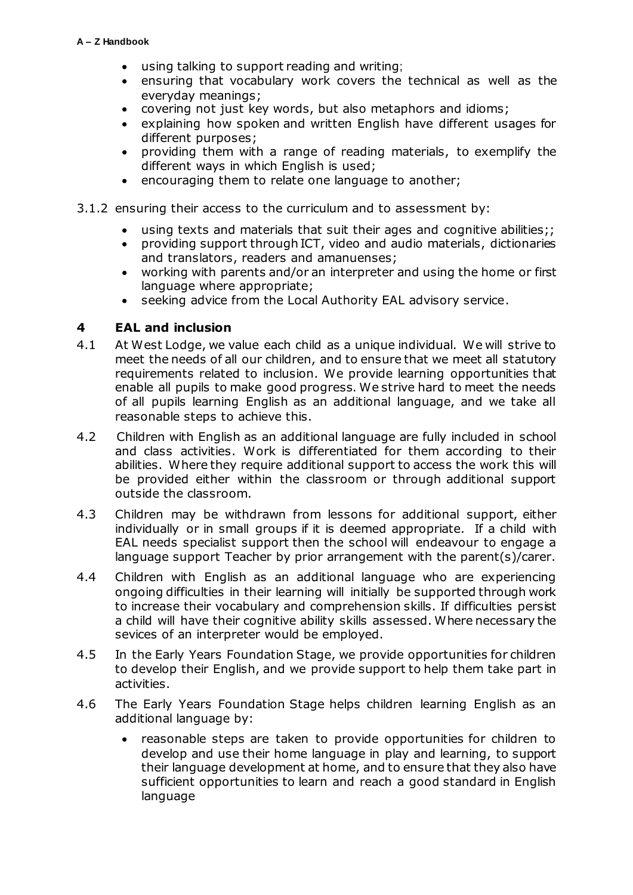- using talking to support reading and writing;
- ensuring that vocabulary work covers the technical as well as the everyday meanings;
- covering not just key words, but also metaphors and idioms;
- explaining how spoken and written English have different usages for different purposes;
- providing them with a range of reading materials, to exemplify the different ways in which English is used;
- encouraging them to relate one language to another;
- 3.1.2 ensuring their access to the curriculum and to assessment by:
	- using texts and materials that suit their ages and cognitive abilities;;
	- providing support through ICT, video and audio materials, dictionaries and translators, readers and amanuenses;
	- working with parents and/or an interpreter and using the home or first language where appropriate;
	- seeking advice from the Local Authority EAL advisory service.

#### **4 EAL and inclusion**

- 4.1 At West Lodge, we value each child as a unique individual. We will strive to meet the needs of all our children, and to ensure that we meet all statutory requirements related to inclusion. We provide learning opportunities that enable all pupils to make good progress. We strive hard to meet the needs of all pupils learning English as an additional language, and we take all reasonable steps to achieve this.
- 4.2 Children with English as an additional language are fully included in school and class activities. Work is differentiated for them according to their abilities. Where they require additional support to access the work this will be provided either within the classroom or through additional support outside the classroom.
- 4.3 Children may be withdrawn from lessons for additional support, either individually or in small groups if it is deemed appropriate. If a child with EAL needs specialist support then the school will endeavour to engage a language support Teacher by prior arrangement with the parent(s)/carer.
- 4.4 Children with English as an additional language who are experiencing ongoing difficulties in their learning will initially be supported through work to increase their vocabulary and comprehension skills. If difficulties persist a child will have their cognitive ability skills assessed. Where necessary the sevices of an interpreter would be employed.
- 4.5 In the Early Years Foundation Stage, we provide opportunities for children to develop their English, and we provide support to help them take part in activities.
- 4.6 The Early Years Foundation Stage helps children learning English as an additional language by:
	- reasonable steps are taken to provide opportunities for children to develop and use their home language in play and learning, to support their language development at home, and to ensure that they also have sufficient opportunities to learn and reach a good standard in English language